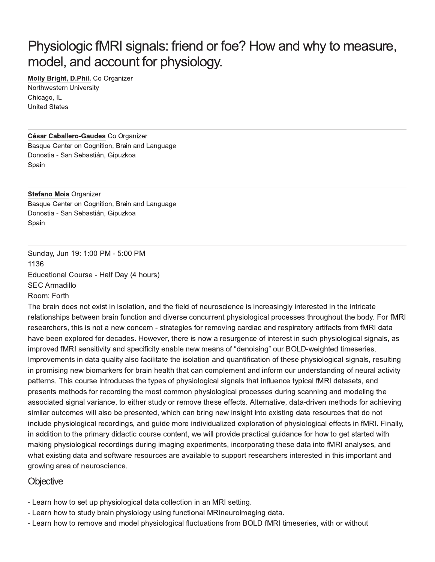# Physiologic fMRI signals: friend or foe? How and why to measure, model, and account for physiology.

#### Molly Bright, D.Phil. Co Organizer Northwestern University Chicago, IL **United States**

#### César Caballero-Gaudes Co Organizer

Basque Center on Cognition, Brain and Language Donostia - San Sebastián, Gipuzkoa Spain

#### **Stefano Moia Organizer**

Basque Center on Cognition, Brain and Language Donostia - San Sebastián, Gipuzkoa Spain

Sunday, Jun 19: 1:00 PM - 5:00 PM 1136 Educational Course - Half Day (4 hours) **SEC Armadillo** 

Room: Forth The brain does not exist in isolation, and the field of neuroscience is increasingly interested in the intricate relationships between brain function and diverse concurrent physiological processes throughout the body. For fMRI researchers, this is not a new concern - strategies for removing cardiac and respiratory artifacts from fMRI data have been explored for decades. However, there is now a resurgence of interest in such physiological signals, as improved fMRI sensitivity and specificity enable new means of "denoising" our BOLD-weighted timeseries. Improvements in data quality also facilitate the isolation and quantification of these physiological signals, resulting in promising new biomarkers for brain health that can complement and inform our understanding of neural activity patterns. This course introduces the types of physiological signals that influence typical fMRI datasets, and presents methods for recording the most common physiological processes during scanning and modeling the associated signal variance, to either study or remove these effects. Alternative, data-driven methods for achieving similar outcomes will also be presented, which can bring new insight into existing data resources that do not include physiological recordings, and guide more individualized exploration of physiological effects in fMRI. Finally, in addition to the primary didactic course content, we will provide practical quidance for how to get started with making physiological recordings during imaging experiments, incorporating these data into fMRI analyses, and what existing data and software resources are available to support researchers interested in this important and

#### Objective

growing area of neuroscience.

- Learn how to set up physiological data collection in an MRI setting.
- Learn how to study brain physiology using functional MRIneuroimaging data.
- Learn how to remove and model physiological fluctuations from BOLD fMRI timeseries, with or without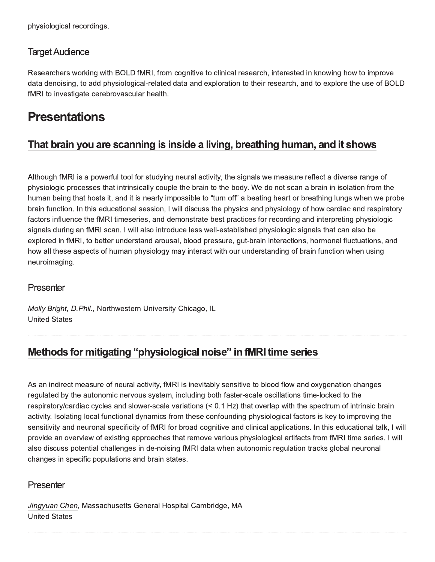physiological recordings.

### **Target Audience**

Researchers working with BOLD fMRI, from cognitive to clinical research, interested in knowing how to improve data denoising, to add physiological-related data and exploration to their research, and to explore the use of BOLD fMRI to investigate cerebrovascular health.

# **Presentations**

### That brain you are scanning is inside a living, breathing human, and it shows

Although fMRI is a powerful tool for studying neural activity, the signals we measure reflect a diverse range of physiologic processes that intrinsically couple the brain to the body. We do not scan a brain in isolation from the human being that hosts it, and it is nearly impossible to "turn off" a beating heart or breathing lungs when we probe brain function. In this educational session, I will discuss the physics and physiology of how cardiac and respiratory factors influence the fMRI timeseries, and demonstrate best practices for recording and interpreting physiologic signals during an fMRI scan. I will also introduce less well-established physiologic signals that can also be explored in fMRI, to better understand arousal, blood pressure, gut-brain interactions, hormonal fluctuations, and how all these aspects of human physiology may interact with our understanding of brain function when using neuroimaging.

### Presenter

Molly Bright, D.Phil., Northwestern University Chicago, IL **United States** 

## Methods for mitigating "physiological noise" in fMRI time series

As an indirect measure of neural activity, fMRI is inevitably sensitive to blood flow and oxygenation changes regulated by the autonomic nervous system, including both faster-scale oscillations time-locked to the respiratory/cardiac cycles and slower-scale variations (< 0.1 Hz) that overlap with the spectrum of intrinsic brain activity. Isolating local functional dynamics from these confounding physiological factors is key to improving the sensitivity and neuronal specificity of fMRI for broad cognitive and clinical applications. In this educational talk, I will provide an overview of existing approaches that remove various physiological artifacts from fMRI time series. I will also discuss potential challenges in de-noising fMRI data when autonomic regulation tracks global neuronal changes in specific populations and brain states.

### Presenter

Jingyuan Chen, Massachusetts General Hospital Cambridge, MA **United States**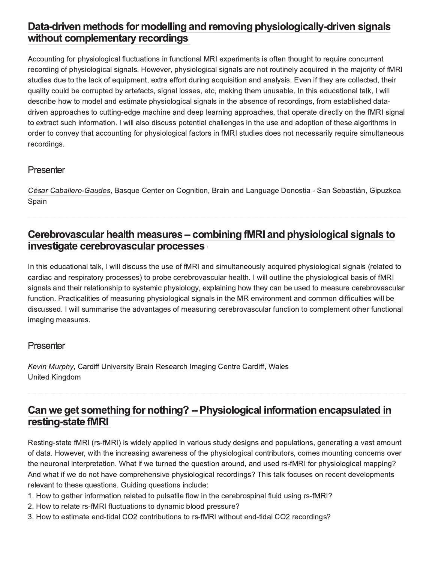## Data-driven methods for modelling and removing physiologically-driven signals without complementary recordings

Accounting for physiological fluctuations in functional MRI experiments is often thought to require concurrent recording of physiological signals. However, physiological signals are not routinely acquired in the majority of fMRI studies due to the lack of equipment, extra effort during acquisition and analysis. Even if they are collected, their quality could be corrupted by artefacts, signal losses, etc, making them unusable. In this educational talk, I will describe how to model and estimate physiological signals in the absence of recordings, from established datadriven approaches to cutting-edge machine and deep learning approaches, that operate directly on the fMRI signal to extract such information. I will also discuss potential challenges in the use and adoption of these algorithms in order to convey that accounting for physiological factors in fMRI studies does not necessarily require simultaneous recordings.

### Presenter

César Caballero-Gaudes, Basque Center on Cognition, Brain and Language Donostia - San Sebastián, Gipuzkoa Spain

### Cerebrovascular health measures – combining fMRI and physiological signals to investigate cerebrovascular processes

In this educational talk, I will discuss the use of fMRI and simultaneously acquired physiological signals (related to cardiac and respiratory processes) to probe cerebrovascular health. I will outline the physiological basis of fMRI signals and their relationship to systemic physiology, explaining how they can be used to measure cerebrovascular function. Practicalities of measuring physiological signals in the MR environment and common difficulties will be discussed. I will summarise the advantages of measuring cerebrovascular function to complement other functional imaging measures.

### Presenter

Kevin Murphy, Cardiff University Brain Research Imaging Centre Cardiff, Wales **United Kingdom** 

## Can we get something for nothing? -- Physiological information encapsulated in resting-state fMRI

Resting-state fMRI (rs-fMRI) is widely applied in various study designs and populations, generating a vast amount of data. However, with the increasing awareness of the physiological contributors, comes mounting concerns over the neuronal interpretation. What if we turned the question around, and used rs-fMRI for physiological mapping? And what if we do not have comprehensive physiological recordings? This talk focuses on recent developments relevant to these questions. Guiding questions include:

- 1. How to gather information related to pulsatile flow in the cerebrospinal fluid using rs-fMRI?
- 2. How to relate rs-fMRI fluctuations to dynamic blood pressure?
- 3. How to estimate end-tidal CO2 contributions to rs-fMRI without end-tidal CO2 recordings?